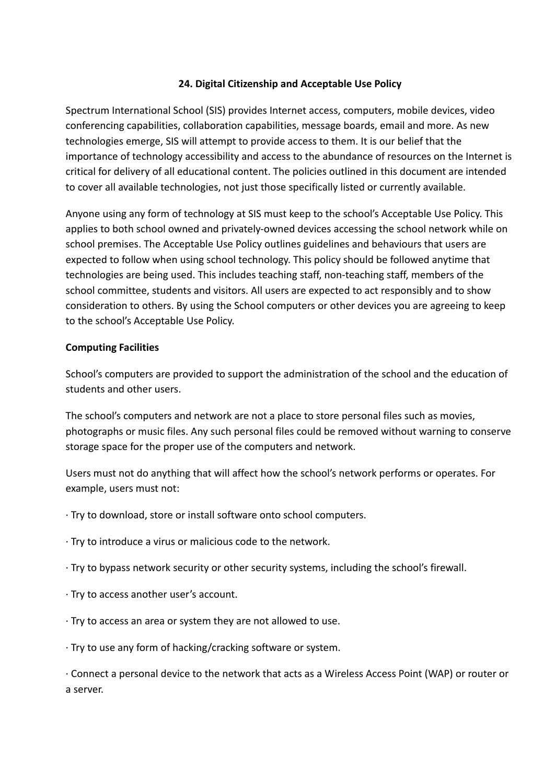# **24. Digital Citizenship and Acceptable Use Policy**

Spectrum International School (SIS) provides Internet access, computers, mobile devices, video conferencing capabilities, collaboration capabilities, message boards, email and more. As new technologies emerge, SIS will attempt to provide access to them. It is our belief that the importance of technology accessibility and access to the abundance of resources on the Internet is critical for delivery of all educational content. The policies outlined in this document are intended to cover all available technologies, not just those specifically listed or currently available.

Anyone using any form of technology at SIS must keep to the school's Acceptable Use Policy. This applies to both school owned and privately-owned devices accessing the school network while on school premises. The Acceptable Use Policy outlines guidelines and behaviours that users are expected to follow when using school technology. This policy should be followed anytime that technologies are being used. This includes teaching staff, non-teaching staff, members of the school committee, students and visitors. All users are expected to act responsibly and to show consideration to others. By using the School computers or other devices you are agreeing to keep to the school's Acceptable Use Policy.

### **Computing Facilities**

School's computers are provided to support the administration of the school and the education of students and other users.

The school's computers and network are not a place to store personal files such as movies, photographs or music files. Any such personal files could be removed without warning to conserve storage space for the proper use of the computers and network.

Users must not do anything that will affect how the school's network performs or operates. For example, users must not:

- · Try to download, store or install software onto school computers.
- · Try to introduce a virus or malicious code to the network.
- · Try to bypass network security or other security systems, including the school's firewall.
- · Try to access another user's account.
- · Try to access an area or system they are not allowed to use.
- · Try to use any form of hacking/cracking software or system.

· Connect a personal device to the network that acts as a Wireless Access Point (WAP) or router or a server.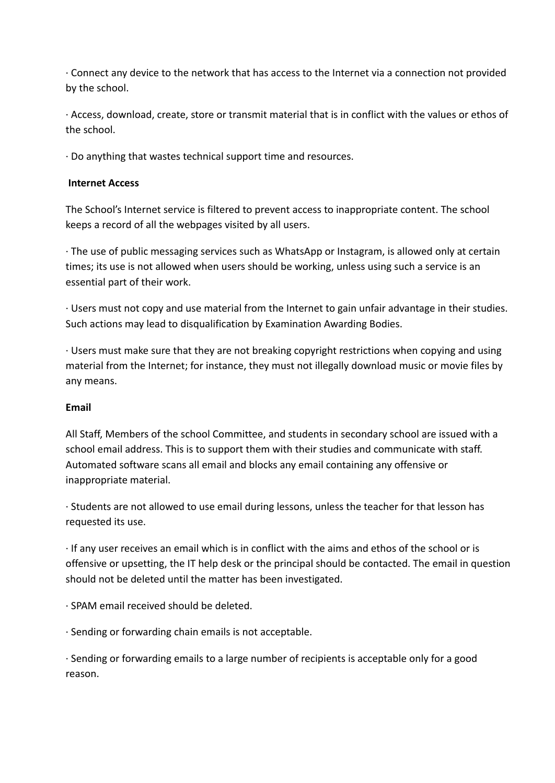· Connect any device to the network that has access to the Internet via a connection not provided by the school.

· Access, download, create, store or transmit material that is in conflict with the values or ethos of the school.

· Do anything that wastes technical support time and resources.

## **Internet Access**

The School's Internet service is filtered to prevent access to inappropriate content. The school keeps a record of all the webpages visited by all users.

· The use of public messaging services such as WhatsApp or Instagram, is allowed only at certain times; its use is not allowed when users should be working, unless using such a service is an essential part of their work.

· Users must not copy and use material from the Internet to gain unfair advantage in their studies. Such actions may lead to disqualification by Examination Awarding Bodies.

· Users must make sure that they are not breaking copyright restrictions when copying and using material from the Internet; for instance, they must not illegally download music or movie files by any means.

## **Email**

All Staff, Members of the school Committee, and students in secondary school are issued with a school email address. This is to support them with their studies and communicate with staff. Automated software scans all email and blocks any email containing any offensive or inappropriate material.

· Students are not allowed to use email during lessons, unless the teacher for that lesson has requested its use.

· If any user receives an email which is in conflict with the aims and ethos of the school or is offensive or upsetting, the IT help desk or the principal should be contacted. The email in question should not be deleted until the matter has been investigated.

· SPAM email received should be deleted.

· Sending or forwarding chain emails is not acceptable.

· Sending or forwarding emails to a large number of recipients is acceptable only for a good reason.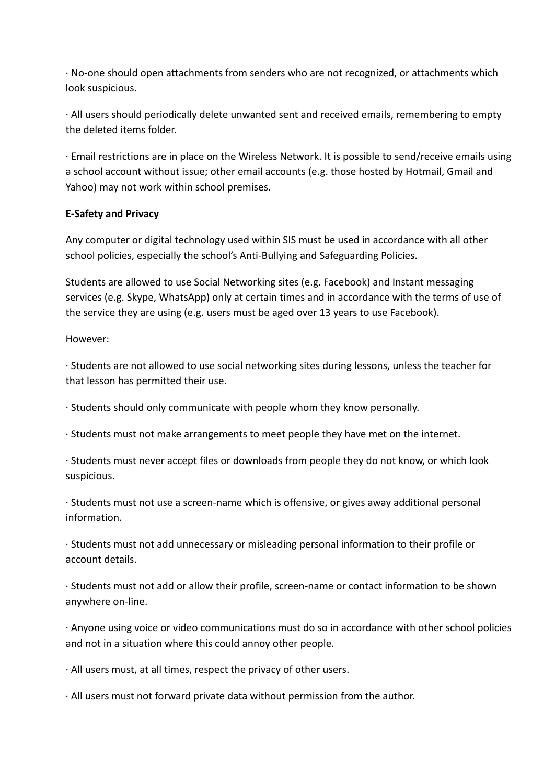· No-one should open attachments from senders who are not recognized, or attachments which look suspicious.

· All users should periodically delete unwanted sent and received emails, remembering to empty the deleted items folder.

· Email restrictions are in place on the Wireless Network. It is possible to send/receive emails using a school account without issue; other email accounts (e.g. those hosted by Hotmail, Gmail and Yahoo) may not work within school premises.

## **E-Safety and Privacy**

Any computer or digital technology used within SIS must be used in accordance with all other school policies, especially the school's Anti-Bullying and Safeguarding Policies.

Students are allowed to use Social Networking sites (e.g. Facebook) and Instant messaging services (e.g. Skype, WhatsApp) only at certain times and in accordance with the terms of use of the service they are using (e.g. users must be aged over 13 years to use Facebook).

However:

· Students are not allowed to use social networking sites during lessons, unless the teacher for that lesson has permitted their use.

· Students should only communicate with people whom they know personally.

· Students must not make arrangements to meet people they have met on the internet.

· Students must never accept files or downloads from people they do not know, or which look suspicious.

· Students must not use a screen-name which is offensive, or gives away additional personal information.

· Students must not add unnecessary or misleading personal information to their profile or account details.

· Students must not add or allow their profile, screen-name or contact information to be shown anywhere on-line.

· Anyone using voice or video communications must do so in accordance with other school policies and not in a situation where this could annoy other people.

· All users must, at all times, respect the privacy of other users.

· All users must not forward private data without permission from the author.